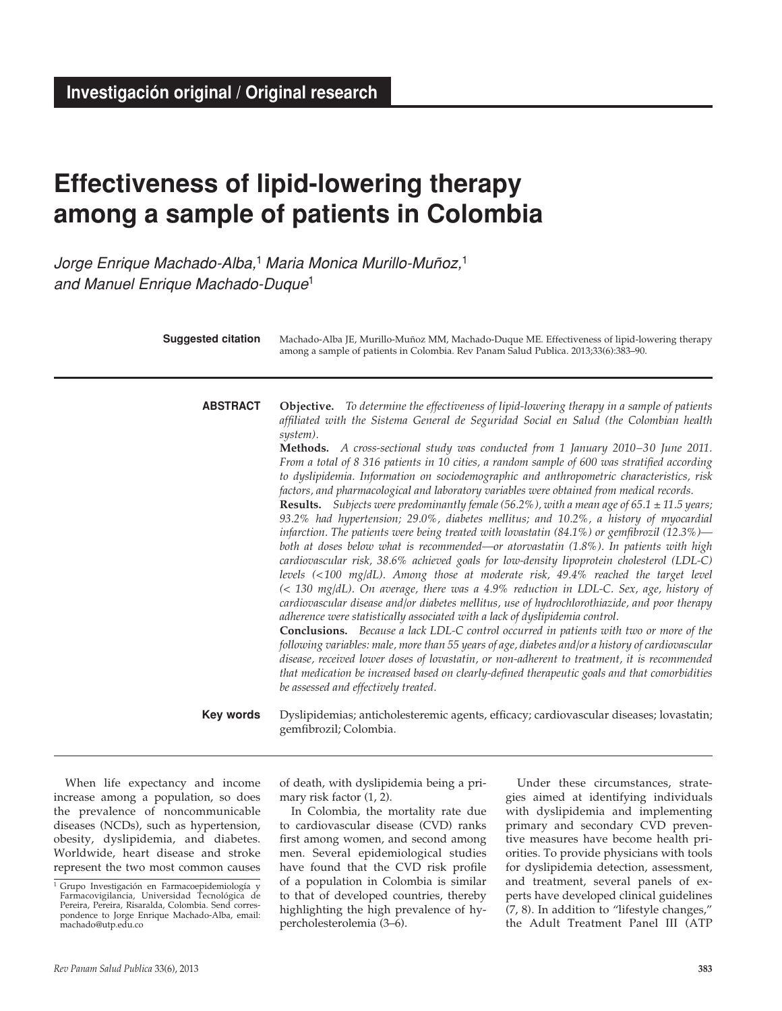# **Effectiveness of lipid-lowering therapy among a sample of patients in Colombia**

*Jorge Enrique Machado-Alba,*<sup>1</sup> *Maria Monica Murillo-Muñoz,*<sup>1</sup> *and Manuel Enrique Machado-Duque*<sup>1</sup>

| <b>Suggested citation</b> | Machado-Alba JE, Murillo-Muñoz MM, Machado-Duque ME. Effectiveness of lipid-lowering therapy<br>among a sample of patients in Colombia. Rev Panam Salud Publica. 2013;33(6):383-90.                                                                                                                                                                                                                                                                                                                                                                                                                                                                                                                                                                                                                                                                                                                                                                                                                                                                                                                                                                                                                                                                                                                                                                                                                                                                                                                                                                                                                                                                                                                                                                                                                                                                                                           |
|---------------------------|-----------------------------------------------------------------------------------------------------------------------------------------------------------------------------------------------------------------------------------------------------------------------------------------------------------------------------------------------------------------------------------------------------------------------------------------------------------------------------------------------------------------------------------------------------------------------------------------------------------------------------------------------------------------------------------------------------------------------------------------------------------------------------------------------------------------------------------------------------------------------------------------------------------------------------------------------------------------------------------------------------------------------------------------------------------------------------------------------------------------------------------------------------------------------------------------------------------------------------------------------------------------------------------------------------------------------------------------------------------------------------------------------------------------------------------------------------------------------------------------------------------------------------------------------------------------------------------------------------------------------------------------------------------------------------------------------------------------------------------------------------------------------------------------------------------------------------------------------------------------------------------------------|
| <b>ABSTRACT</b>           | <b>Objective.</b> To determine the effectiveness of lipid-lowering therapy in a sample of patients<br>affiliated with the Sistema General de Seguridad Social en Salud (the Colombian health<br>system).<br>Methods. A cross-sectional study was conducted from 1 January 2010-30 June 2011.<br>From a total of 8 316 patients in 10 cities, a random sample of 600 was stratified according<br>to dyslipidemia. Information on sociodemographic and anthropometric characteristics, risk<br>factors, and pharmacological and laboratory variables were obtained from medical records.<br><b>Results.</b> Subjects were predominantly female (56.2%), with a mean age of 65.1 $\pm$ 11.5 years;<br>93.2% had hypertension; 29.0%, diabetes mellitus; and 10.2%, a history of myocardial<br>infarction. The patients were being treated with lovastatin (84.1%) or gemfibrozil (12.3%)—<br>both at doses below what is recommended—or atorvastatin (1.8%). In patients with high<br>cardiovascular risk, 38.6% achieved goals for low-density lipoprotein cholesterol (LDL-C)<br>levels (<100 mg/dL). Among those at moderate risk, 49.4% reached the target level<br>$\ll$ 130 mg/dL). On average, there was a 4.9% reduction in LDL-C. Sex, age, history of<br>cardiovascular disease and/or diabetes mellitus, use of hydrochlorothiazide, and poor therapy<br>adherence were statistically associated with a lack of dyslipidemia control.<br><b>Conclusions.</b> Because a lack LDL-C control occurred in patients with two or more of the<br>following variables: male, more than 55 years of age, diabetes and/or a history of cardiovascular<br>disease, received lower doses of lovastatin, or non-adherent to treatment, it is recommended<br>that medication be increased based on clearly-defined therapeutic goals and that comorbidities<br>be assessed and effectively treated. |
| <b>Key words</b>          | Dyslipidemias; anticholesteremic agents, efficacy; cardiovascular diseases; lovastatin;<br>gemfibrozil; Colombia.                                                                                                                                                                                                                                                                                                                                                                                                                                                                                                                                                                                                                                                                                                                                                                                                                                                                                                                                                                                                                                                                                                                                                                                                                                                                                                                                                                                                                                                                                                                                                                                                                                                                                                                                                                             |

When life expectancy and income increase among a population, so does the prevalence of noncommunicable diseases (NCDs), such as hypertension, obesity, dyslipidemia, and diabetes. Worldwide, heart disease and stroke represent the two most common causes of death, with dyslipidemia being a primary risk factor (1, 2).

In Colombia, the mortality rate due to cardiovascular disease (CVD) ranks first among women, and second among men. Several epidemiological studies have found that the CVD risk profile of a population in Colombia is similar to that of developed countries, thereby highlighting the high prevalence of hypercholesterolemia (3–6).

Under these circumstances, strategies aimed at identifying individuals with dyslipidemia and implementing primary and secondary CVD preventive measures have become health priorities. To provide physicians with tools for dyslipidemia detection, assessment, and treatment, several panels of experts have developed clinical guidelines (7, 8). In addition to "lifestyle changes," the Adult Treatment Panel III (ATP

<sup>&</sup>lt;sup>1</sup> Grupo Investigación en Farmacoepidemiología y Farmacovigilancia, Universidad Tecnológica de Pereira, Pereira, Risaralda, Colombia. Send correspondence to Jorge Enrique Machado-Alba, email: machado@utp.edu.co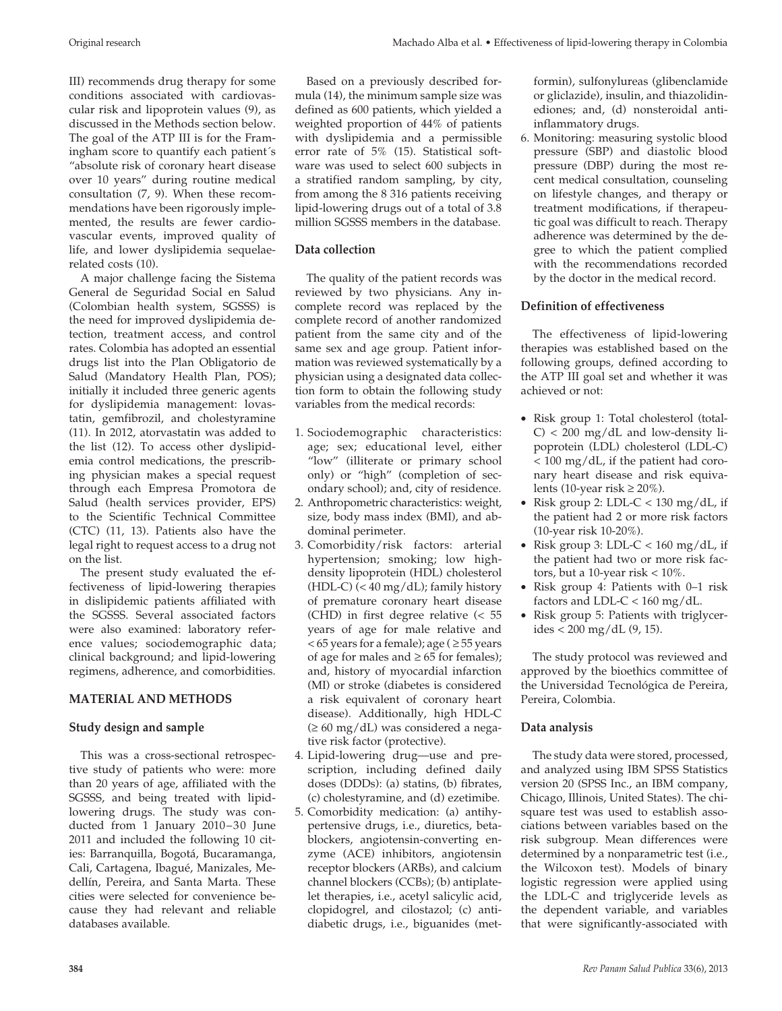III) recommends drug therapy for some conditions associated with cardiovascular risk and lipoprotein values (9), as discussed in the Methods section below. The goal of the ATP III is for the Framingham score to quantify each patient´s "absolute risk of coronary heart disease over 10 years" during routine medical consultation (7, 9). When these recommendations have been rigorously implemented, the results are fewer cardiovascular events, improved quality of life, and lower dyslipidemia sequelaerelated costs (10).

A major challenge facing the Sistema General de Seguridad Social en Salud (Colombian health system, SGSSS) is the need for improved dyslipidemia detection, treatment access, and control rates. Colombia has adopted an essential drugs list into the Plan Obligatorio de Salud (Mandatory Health Plan, POS); initially it included three generic agents for dyslipidemia management: lovastatin, gemfibrozil, and cholestyramine (11). In 2012, atorvastatin was added to the list (12). To access other dyslipidemia control medications, the prescribing physician makes a special request through each Empresa Promotora de Salud (health services provider, EPS) to the Scientific Technical Committee (CTC) (11, 13). Patients also have the legal right to request access to a drug not on the list.

The present study evaluated the effectiveness of lipid-lowering therapies in dislipidemic patients affiliated with the SGSSS. Several associated factors were also examined: laboratory reference values; sociodemographic data; clinical background; and lipid-lowering regimens, adherence, and comorbidities.

## **MATERIAL AND METHODS**

## **Study design and sample**

This was a cross-sectional retrospective study of patients who were: more than 20 years of age, affiliated with the SGSSS, and being treated with lipidlowering drugs. The study was conducted from 1 January 2010–30 June 2011 and included the following 10 cities: Barranquilla, Bogotá, Bucaramanga, Cali, Cartagena, Ibagué, Manizales, Medellín, Pereira, and Santa Marta. These cities were selected for convenience because they had relevant and reliable databases available.

Based on a previously described formula (14), the minimum sample size was defined as 600 patients, which yielded a weighted proportion of 44% of patients with dyslipidemia and a permissible error rate of 5% (15). Statistical software was used to select 600 subjects in a stratified random sampling, by city, from among the 8 316 patients receiving lipid-lowering drugs out of a total of 3.8 million SGSSS members in the database.

# **Data collection**

The quality of the patient records was reviewed by two physicians. Any incomplete record was replaced by the complete record of another randomized patient from the same city and of the same sex and age group. Patient information was reviewed systematically by a physician using a designated data collection form to obtain the following study variables from the medical records:

- 1. Sociodemographic characteristics: age; sex; educational level, either "low" (illiterate or primary school only) or "high" (completion of secondary school); and, city of residence.
- 2. Anthropometric characteristics: weight, size, body mass index (BMI), and abdominal perimeter.
- 3. Comorbidity/risk factors: arterial hypertension; smoking; low highdensity lipoprotein (HDL) cholesterol (HDL-C) (< 40 mg/dL); family history of premature coronary heart disease (CHD) in first degree relative (< 55 years of age for male relative and  $<$  65 years for a female); age ( $\geq$  55 years of age for males and  $\geq 65$  for females); and, history of myocardial infarction (MI) or stroke (diabetes is considered a risk equivalent of coronary heart disease). Additionally, high HDL-C (≥ 60 mg/dL) was considered a negative risk factor (protective).
- 4. Lipid-lowering drug—use and prescription, including defined daily doses (DDDs): (a) statins, (b) fibrates, (c) cholestyramine, and (d) ezetimibe.
- 5. Comorbidity medication: (a) antihypertensive drugs, i.e., diuretics, betablockers, angiotensin-converting enzyme (ACE) inhibitors, angiotensin receptor blockers (ARBs), and calcium channel blockers (CCBs); (b) antiplatelet therapies, i.e., acetyl salicylic acid, clopidogrel, and cilostazol; (c) antidiabetic drugs, i.e., biguanides (met-

formin), sulfonylureas (glibenclamide or gliclazide), insulin, and thiazolidinediones; and, (d) nonsteroidal antiinflammatory drugs.

6. Monitoring: measuring systolic blood pressure (SBP) and diastolic blood pressure (DBP) during the most recent medical consultation, counseling on lifestyle changes, and therapy or treatment modifications, if therapeutic goal was difficult to reach. Therapy adherence was determined by the degree to which the patient complied with the recommendations recorded by the doctor in the medical record.

## **Definition of effectiveness**

The effectiveness of lipid-lowering therapies was established based on the following groups, defined according to the ATP III goal set and whether it was achieved or not:

- Risk group 1: Total cholesterol (total- $C$  < 200 mg/dL and low-density lipoprotein (LDL) cholesterol (LDL-C) < 100 mg/dL, if the patient had coronary heart disease and risk equivalents (10-year risk  $\geq$  20%).
- Risk group 2: LDL-C < 130 mg/dL, if the patient had 2 or more risk factors (10-year risk 10-20%).
- Risk group 3: LDL-C <  $160 \text{ mg/dL}$ , if the patient had two or more risk factors, but a 10-year risk < 10%.
- Risk group 4: Patients with 0–1 risk factors and LDL-C <  $160 \text{ mg/dL}$ .
- Risk group 5: Patients with triglycerides  $< 200$  mg/dL  $(9, 15)$ .

The study protocol was reviewed and approved by the bioethics committee of the Universidad Tecnológica de Pereira, Pereira, Colombia.

## **Data analysis**

The study data were stored, processed, and analyzed using IBM SPSS Statistics version 20 (SPSS Inc., an IBM company, Chicago, Illinois, United States). The chisquare test was used to establish associations between variables based on the risk subgroup. Mean differences were determined by a nonparametric test (i.e., the Wilcoxon test). Models of binary logistic regression were applied using the LDL-C and triglyceride levels as the dependent variable, and variables that were significantly-associated with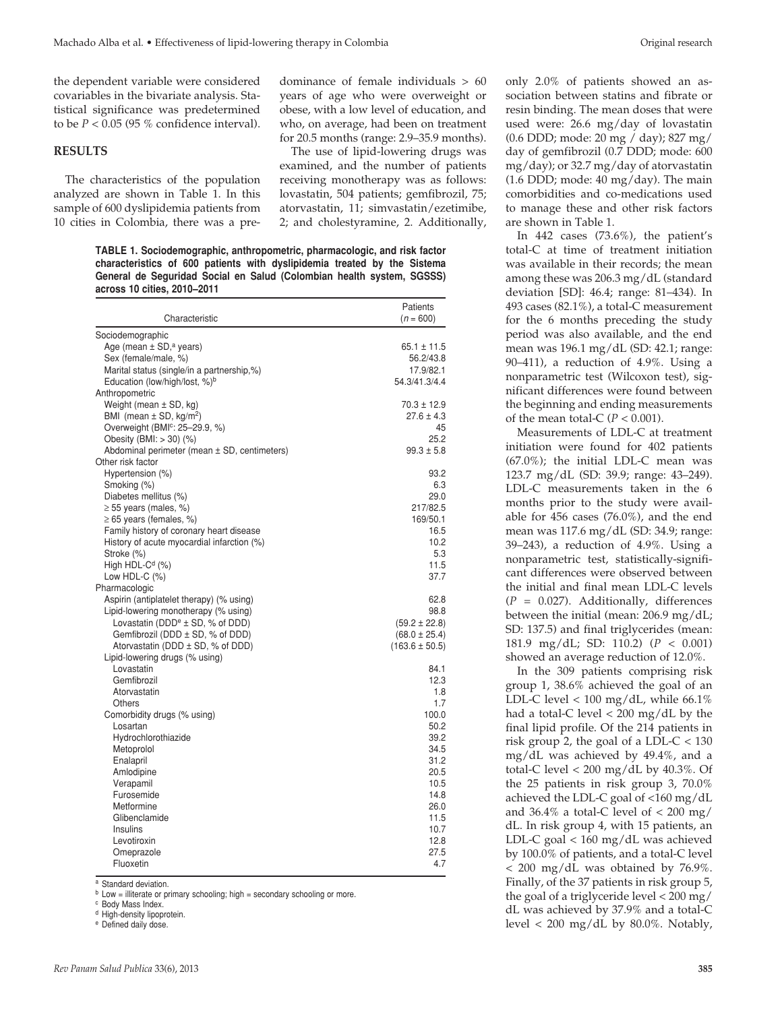the dependent variable were considered covariables in the bivariate analysis. Statistical significance was predetermined to be  $P < 0.05$  (95 % confidence interval).

#### **RESULTS**

The characteristics of the population analyzed are shown in Table 1. In this sample of 600 dyslipidemia patients from 10 cities in Colombia, there was a predominance of female individuals > 60 years of age who were overweight or obese, with a low level of education, and who, on average, had been on treatment for 20.5 months (range: 2.9–35.9 months).

The use of lipid-lowering drugs was examined, and the number of patients receiving monotherapy was as follows: lovastatin, 504 patients; gemfibrozil, 75; atorvastatin, 11; simvastatin/ezetimibe, 2; and cholestyramine, 2. Additionally,

**TABLE 1. Sociodemographic, anthropometric, pharmacologic, and risk factor characteristics of 600 patients with dyslipidemia treated by the Sistema General de Seguridad Social en Salud (Colombian health system, SGSSS) across 10 cities, 2010–2011**

| Characteristic                                   | Patients<br>$(n = 600)$ |
|--------------------------------------------------|-------------------------|
| Sociodemographic                                 |                         |
| Age (mean $\pm$ SD, <sup>a</sup> years)          | $65.1 \pm 11.5$         |
| Sex (female/male, %)                             | 56.2/43.8               |
| Marital status (single/in a partnership,%)       | 17.9/82.1               |
| Education (low/high/lost, %) <sup>b</sup>        | 54.3/41.3/4.4           |
| Anthropometric                                   |                         |
| Weight (mean $\pm$ SD, kg)                       | $70.3 \pm 12.9$         |
| BMI (mean $\pm$ SD, kg/m <sup>2</sup> )          | $27.6 \pm 4.3$          |
| Overweight (BMI <sup>c</sup> : 25-29.9, %)       | 45                      |
| Obesity (BMI: > 30) (%)                          | 25.2                    |
| Abdominal perimeter (mean ± SD, centimeters)     | $99.3 \pm 5.8$          |
| Other risk factor                                |                         |
| Hypertension (%)                                 | 93.2                    |
| Smoking (%)                                      | 6.3                     |
| Diabetes mellitus (%)                            | 29.0                    |
| $\geq$ 55 years (males, %)                       | 217/82.5                |
| $\geq 65$ years (females, %)                     | 169/50.1                |
| Family history of coronary heart disease         | 16.5                    |
| History of acute myocardial infarction (%)       | 10.2                    |
| Stroke (%)                                       | 5.3                     |
| High HDL-C <sup>d</sup> (%)                      | 11.5                    |
| Low HDL-C (%)                                    | 37.7                    |
| Pharmacologic                                    |                         |
| Aspirin (antiplatelet therapy) (% using)         | 62.8                    |
| Lipid-lowering monotherapy (% using)             | 98.8                    |
| Lovastatin (DDD <sup>e</sup> $\pm$ SD, % of DDD) | $(59.2 \pm 22.8)$       |
| Gemfibrozil (DDD ± SD, % of DDD)                 | $(68.0 \pm 25.4)$       |
| Atorvastatin (DDD ± SD, % of DDD)                | $(163.6 \pm 50.5)$      |
| Lipid-lowering drugs (% using)                   |                         |
| Lovastatin                                       | 84.1                    |
| Gemfibrozil                                      | 12.3                    |
| Atorvastatin                                     | 1.8                     |
| Others                                           | 1.7                     |
| Comorbidity drugs (% using)                      | 100.0                   |
| Losartan                                         | 50.2                    |
| Hydrochlorothiazide                              | 39.2                    |
| Metoprolol                                       | 34.5                    |
| Enalapril                                        | 31.2                    |
| Amlodipine                                       | 20.5                    |
| Verapamil                                        | 10.5                    |
| Furosemide                                       | 14.8                    |
| Metformine                                       | 26.0                    |
| Glibenclamide                                    | 11.5                    |
| Insulins                                         | 10.7                    |
| Levotiroxin                                      | 12.8                    |
| Omeprazole                                       | 27.5                    |
| Fluoxetin                                        | 4.7                     |
|                                                  |                         |

<sup>a</sup> Standard deviation.

 $<sup>b</sup>$  Low = illiterate or primary schooling; high = secondary schooling or more.</sup>

<sup>c</sup> Body Mass Index.

<sup>d</sup> High-density lipoprotein.

<sup>e</sup> Defined daily dose.

only 2.0% of patients showed an association between statins and fibrate or resin binding. The mean doses that were used were: 26.6 mg/day of lovastatin (0.6 DDD; mode: 20 mg / day); 827 mg/ day of gemfibrozil (0.7 DDD; mode: 600 mg/day); or 32.7 mg/day of atorvastatin  $(1.6$  DDD; mode:  $40$  mg/day). The main comorbidities and co-medications used to manage these and other risk factors are shown in Table 1.

In 442 cases (73.6%), the patient's total-C at time of treatment initiation was available in their records; the mean among these was 206.3 mg/dL (standard deviation [SD]: 46.4; range: 81–434). In 493 cases (82.1%), a total-C measurement for the 6 months preceding the study period was also available, and the end mean was 196.1 mg/dL (SD: 42.1; range: 90–411), a reduction of 4.9%. Using a nonparametric test (Wilcoxon test), significant differences were found between the beginning and ending measurements of the mean total-C (*P* < 0.001).

Measurements of LDL-C at treatment initiation were found for 402 patients (67.0%); the initial LDL-C mean was 123.7 mg/dL (SD: 39.9; range: 43–249). LDL-C measurements taken in the 6 months prior to the study were available for 456 cases (76.0%), and the end mean was 117.6 mg/dL (SD: 34.9; range: 39–243), a reduction of 4.9%. Using a nonparametric test, statistically-significant differences were observed between the initial and final mean LDL-C levels (*P* = 0.027). Additionally, differences between the initial (mean: 206.9 mg/dL; SD: 137.5) and final triglycerides (mean: 181.9 mg/dL; SD: 110.2) (*P* < 0.001) showed an average reduction of 12.0%.

In the 309 patients comprising risk group 1, 38.6% achieved the goal of an LDL-C level  $< 100$  mg/dL, while 66.1% had a total-C level < 200 mg/dL by the final lipid profile. Of the 214 patients in risk group 2, the goal of a LDL-C < 130 mg/dL was achieved by 49.4%, and a total-C level  $< 200$  mg/dL by 40.3%. Of the 25 patients in risk group 3, 70.0% achieved the LDL-C goal of <160 mg/dL and  $36.4\%$  a total-C level of  $\lt$  200 mg/ dL. In risk group 4, with 15 patients, an LDL-C goal < 160 mg/dL was achieved by 100.0% of patients, and a total-C level < 200 mg/dL was obtained by 76.9%. Finally, of the 37 patients in risk group 5, the goal of a triglyceride level < 200 mg/ dL was achieved by 37.9% and a total-C level  $< 200$  mg/dL by 80.0%. Notably,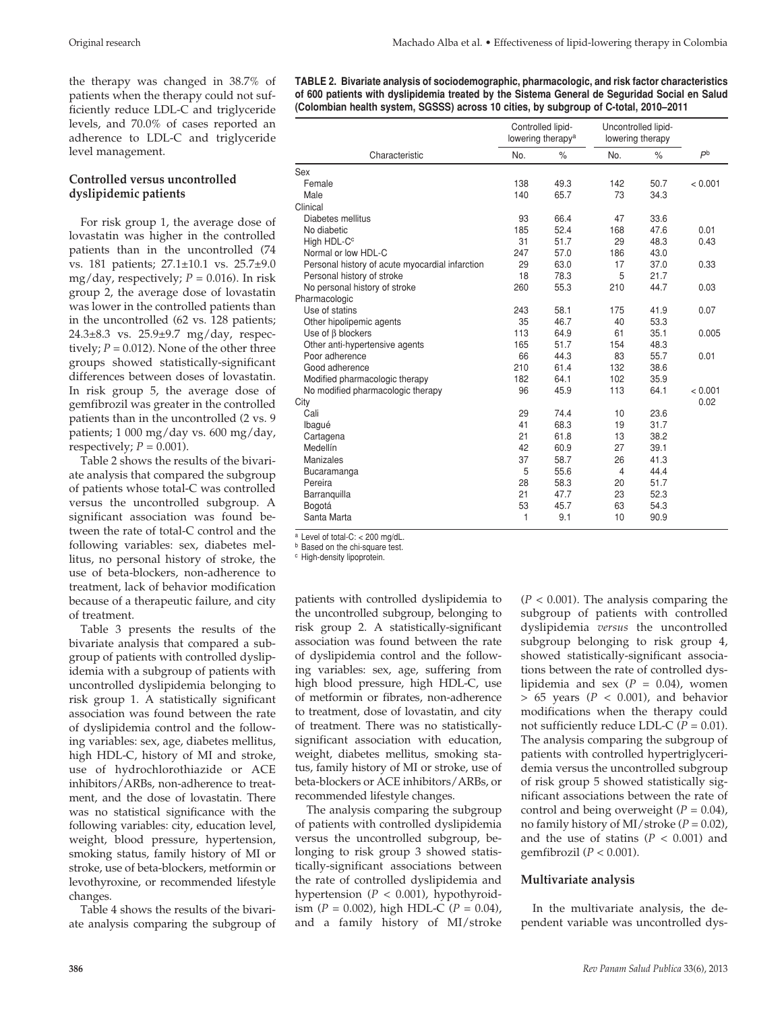the therapy was changed in 38.7% of patients when the therapy could not sufficiently reduce LDL-C and triglyceride levels, and 70.0% of cases reported an adherence to LDL-C and triglyceride level management.

## **Controlled versus uncontrolled dyslipidemic patients**

For risk group 1, the average dose of lovastatin was higher in the controlled patients than in the uncontrolled (74 vs. 181 patients; 27.1±10.1 vs. 25.7±9.0 mg/day, respectively;  $P = 0.016$ ). In risk group 2, the average dose of lovastatin was lower in the controlled patients than in the uncontrolled (62 vs. 128 patients; 24.3±8.3 vs. 25.9±9.7 mg/day, respectively;  $P = 0.012$ ). None of the other three groups showed statistically-significant differences between doses of lovastatin. In risk group 5, the average dose of gemfibrozil was greater in the controlled patients than in the uncontrolled (2 vs. 9 patients; 1 000 mg/day vs. 600 mg/day, respectively;  $P = 0.001$ ).

Table 2 shows the results of the bivariate analysis that compared the subgroup of patients whose total-C was controlled versus the uncontrolled subgroup. A significant association was found between the rate of total-C control and the following variables: sex, diabetes mellitus, no personal history of stroke, the use of beta-blockers, non-adherence to treatment, lack of behavior modification because of a therapeutic failure, and city of treatment.

Table 3 presents the results of the bivariate analysis that compared a subgroup of patients with controlled dyslipidemia with a subgroup of patients with uncontrolled dyslipidemia belonging to risk group 1. A statistically significant association was found between the rate of dyslipidemia control and the following variables: sex, age, diabetes mellitus, high HDL-C, history of MI and stroke, use of hydrochlorothiazide or ACE inhibitors/ARBs, non-adherence to treatment, and the dose of lovastatin. There was no statistical significance with the following variables: city, education level, weight, blood pressure, hypertension, smoking status, family history of MI or stroke, use of beta-blockers, metformin or levothyroxine, or recommended lifestyle changes.

Table 4 shows the results of the bivariate analysis comparing the subgroup of **TABLE 2. Bivariate analysis of sociodemographic, pharmacologic, and risk factor characteristics of 600 patients with dyslipidemia treated by the Sistema General de Seguridad Social en Salud (Colombian health system, SGSSS) across 10 cities, by subgroup of C-total, 2010–2011**

|                                                 |     | Controlled lipid-<br>lowering therapy <sup>a</sup> | Uncontrolled lipid-<br>lowering therapy |      |                |
|-------------------------------------------------|-----|----------------------------------------------------|-----------------------------------------|------|----------------|
| Characteristic                                  | No. | $\%$                                               | No.                                     | $\%$ | P <sub>b</sub> |
| Sex                                             |     |                                                    |                                         |      |                |
| Female                                          | 138 | 49.3                                               | 142                                     | 50.7 | < 0.001        |
| Male                                            | 140 | 65.7                                               | 73                                      | 34.3 |                |
| Clinical                                        |     |                                                    |                                         |      |                |
| Diabetes mellitus                               | 93  | 66.4                                               | 47                                      | 33.6 |                |
| No diabetic                                     | 185 | 52.4                                               | 168                                     | 47.6 | 0.01           |
| High HDL-C <sup>c</sup>                         | 31  | 51.7                                               | 29                                      | 48.3 | 0.43           |
| Normal or low HDL-C                             | 247 | 57.0                                               | 186                                     | 43.0 |                |
| Personal history of acute myocardial infarction | 29  | 63.0                                               | 17                                      | 37.0 | 0.33           |
| Personal history of stroke                      | 18  | 78.3                                               | 5                                       | 21.7 |                |
| No personal history of stroke                   | 260 | 55.3                                               | 210                                     | 44.7 | 0.03           |
| Pharmacologic                                   |     |                                                    |                                         |      |                |
| Use of statins                                  | 243 | 58.1                                               | 175                                     | 41.9 | 0.07           |
| Other hipolipemic agents                        | 35  | 46.7                                               | 40                                      | 53.3 |                |
| Use of $\beta$ blockers                         | 113 | 64.9                                               | 61                                      | 35.1 | 0.005          |
| Other anti-hypertensive agents                  | 165 | 51.7                                               | 154                                     | 48.3 |                |
| Poor adherence                                  | 66  | 44.3                                               | 83                                      | 55.7 | 0.01           |
| Good adherence                                  | 210 | 61.4                                               | 132                                     | 38.6 |                |
| Modified pharmacologic therapy                  | 182 | 64.1                                               | 102                                     | 35.9 |                |
| No modified pharmacologic therapy               | 96  | 45.9                                               | 113                                     | 64.1 | < 0.001        |
| City                                            |     |                                                    |                                         |      | 0.02           |
| Cali                                            | 29  | 74.4                                               | 10                                      | 23.6 |                |
| Ibagué                                          | 41  | 68.3                                               | 19                                      | 31.7 |                |
| Cartagena                                       | 21  | 61.8                                               | 13                                      | 38.2 |                |
| Medellín                                        | 42  | 60.9                                               | 27                                      | 39.1 |                |
| <b>Manizales</b>                                | 37  | 58.7                                               | 26                                      | 41.3 |                |
| Bucaramanga                                     | 5   | 55.6                                               | 4                                       | 44.4 |                |
| Pereira                                         | 28  | 58.3                                               | 20                                      | 51.7 |                |
| Barranquilla                                    | 21  | 47.7                                               | 23                                      | 52.3 |                |
| Bogotá                                          | 53  | 45.7                                               | 63                                      | 54.3 |                |
| Santa Marta                                     | 1   | 9.1                                                | 10                                      | 90.9 |                |

<sup>a</sup> Level of total-C: < 200 mg/dL.

**b** Based on the chi-square test.

<sup>c</sup> High-density lipoprotein.

patients with controlled dyslipidemia to the uncontrolled subgroup, belonging to risk group 2. A statistically-significant association was found between the rate of dyslipidemia control and the following variables: sex, age, suffering from high blood pressure, high HDL-C, use of metformin or fibrates, non-adherence to treatment, dose of lovastatin, and city of treatment. There was no statisticallysignificant association with education, weight, diabetes mellitus, smoking status, family history of MI or stroke, use of beta-blockers or ACE inhibitors/ARBs, or recommended lifestyle changes.

The analysis comparing the subgroup of patients with controlled dyslipidemia versus the uncontrolled subgroup, belonging to risk group 3 showed statistically-significant associations between the rate of controlled dyslipidemia and hypertension (*P* < 0.001), hypothyroidism (*P* = 0.002), high HDL-C (*P* = 0.04), and a family history of MI/stroke  $(P < 0.001)$ . The analysis comparing the subgroup of patients with controlled dyslipidemia *versus* the uncontrolled subgroup belonging to risk group 4, showed statistically-significant associations between the rate of controlled dyslipidemia and sex  $(P = 0.04)$ , women  $> 65$  years ( $P < 0.001$ ), and behavior modifications when the therapy could not sufficiently reduce LDL-C ( $P = 0.01$ ). The analysis comparing the subgroup of patients with controlled hypertriglyceridemia versus the uncontrolled subgroup of risk group 5 showed statistically significant associations between the rate of control and being overweight (*P* = 0.04), no family history of MI/stroke (*P* = 0.02), and the use of statins  $(P < 0.001)$  and gemfibrozil (*P* < 0.001).

#### **Multivariate analysis**

In the multivariate analysis, the dependent variable was uncontrolled dys-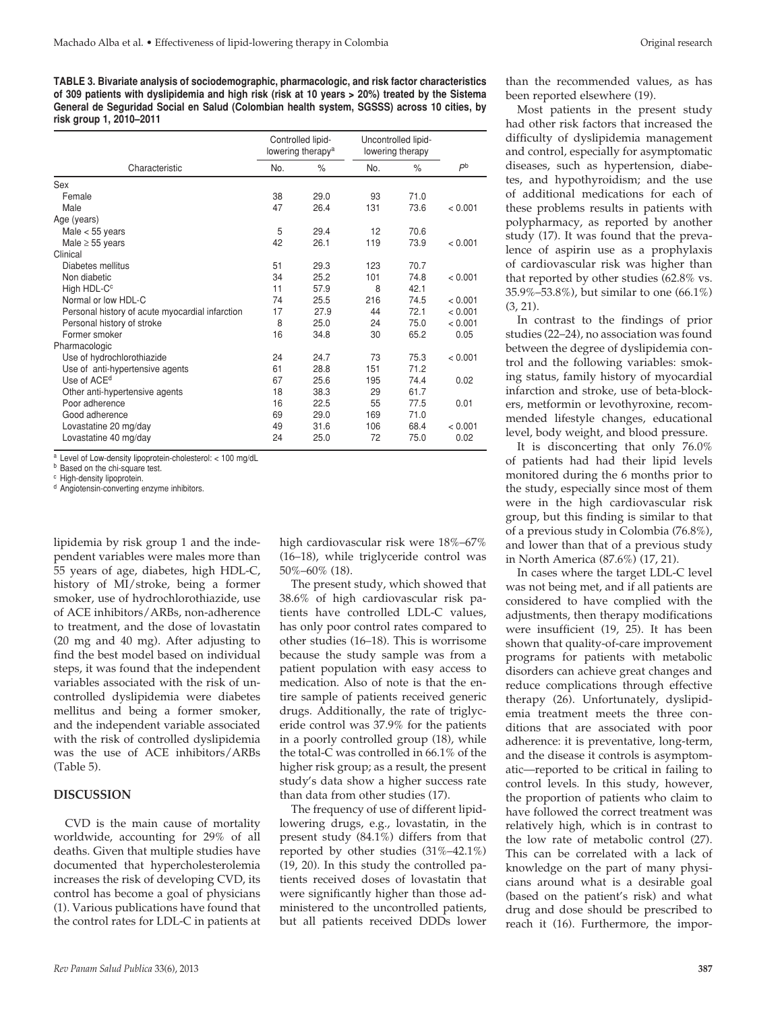**TABLE 3. Bivariate analysis of sociodemographic, pharmacologic, and risk factor characteristics of 309 patients with dyslipidemia and high risk (risk at 10 years > 20%) treated by the Sistema General de Seguridad Social en Salud (Colombian health system, SGSSS) across 10 cities, by risk group 1, 2010–2011**

|                                                 |     | Controlled lipid-<br>lowering therapy <sup>a</sup> | Uncontrolled lipid-<br>lowering therapy |      |                |  |
|-------------------------------------------------|-----|----------------------------------------------------|-----------------------------------------|------|----------------|--|
| Characteristic                                  | No. | $\%$                                               | No.                                     | $\%$ | P <sub>b</sub> |  |
| Sex                                             |     |                                                    |                                         |      |                |  |
| Female                                          | 38  | 29.0                                               | 93                                      | 71.0 |                |  |
| Male                                            | 47  | 26.4                                               | 131                                     | 73.6 | < 0.001        |  |
| Age (years)                                     |     |                                                    |                                         |      |                |  |
| Male $<$ 55 years                               | 5   | 29.4                                               | 12                                      | 70.6 |                |  |
| Male $\geq$ 55 years                            | 42  | 26.1                                               | 119                                     | 73.9 | < 0.001        |  |
| Clinical                                        |     |                                                    |                                         |      |                |  |
| Diabetes mellitus                               | 51  | 29.3                                               | 123                                     | 70.7 |                |  |
| Non diabetic                                    | 34  | 25.2                                               | 101                                     | 74.8 | < 0.001        |  |
| High HDL-C <sup>c</sup>                         | 11  | 57.9                                               | 8                                       | 42.1 |                |  |
| Normal or low HDL-C                             | 74  | 25.5                                               | 216                                     | 74.5 | < 0.001        |  |
| Personal history of acute myocardial infarction | 17  | 27.9                                               | 44                                      | 72.1 | < 0.001        |  |
| Personal history of stroke                      | 8   | 25.0                                               | 24                                      | 75.0 | < 0.001        |  |
| Former smoker                                   | 16  | 34.8                                               | 30                                      | 65.2 | 0.05           |  |
| Pharmacologic                                   |     |                                                    |                                         |      |                |  |
| Use of hydrochlorothiazide                      | 24  | 24.7                                               | 73                                      | 75.3 | < 0.001        |  |
| Use of anti-hypertensive agents                 | 61  | 28.8                                               | 151                                     | 71.2 |                |  |
| Use of ACE <sup>d</sup>                         | 67  | 25.6                                               | 195                                     | 74.4 | 0.02           |  |
| Other anti-hypertensive agents                  | 18  | 38.3                                               | 29                                      | 61.7 |                |  |
| Poor adherence                                  | 16  | 22.5                                               | 55                                      | 77.5 | 0.01           |  |
| Good adherence                                  | 69  | 29.0                                               | 169                                     | 71.0 |                |  |
| Lovastatine 20 mg/day                           | 49  | 31.6                                               | 106                                     | 68.4 | < 0.001        |  |
| Lovastatine 40 mg/day                           | 24  | 25.0                                               | 72                                      | 75.0 | 0.02           |  |

<sup>a</sup> Level of Low-density lipoprotein-cholesterol: < 100 mg/dL

**b** Based on the chi-square test.

<sup>c</sup> High-density lipoprotein.

<sup>d</sup> Angiotensin-converting enzyme inhibitors.

lipidemia by risk group 1 and the independent variables were males more than 55 years of age, diabetes, high HDL-C, history of MI/stroke, being a former smoker, use of hydrochlorothiazide, use of ACE inhibitors/ARBs, non-adherence to treatment, and the dose of lovastatin (20 mg and 40 mg). After adjusting to find the best model based on individual steps, it was found that the independent variables associated with the risk of uncontrolled dyslipidemia were diabetes mellitus and being a former smoker, and the independent variable associated with the risk of controlled dyslipidemia was the use of ACE inhibitors/ARBs (Table 5).

#### **DISCUSSION**

CVD is the main cause of mortality worldwide, accounting for 29% of all deaths. Given that multiple studies have documented that hypercholesterolemia increases the risk of developing CVD, its control has become a goal of physicians (1). Various publications have found that the control rates for LDL-C in patients at high cardiovascular risk were 18%–67% (16–18), while triglyceride control was 50%–60% (18).

The present study, which showed that 38.6% of high cardiovascular risk patients have controlled LDL-C values, has only poor control rates compared to other studies (16–18). This is worrisome because the study sample was from a patient population with easy access to medication. Also of note is that the entire sample of patients received generic drugs. Additionally, the rate of triglyceride control was 37.9% for the patients in a poorly controlled group (18), while the total-C was controlled in 66.1% of the higher risk group; as a result, the present study's data show a higher success rate than data from other studies (17).

The frequency of use of different lipidlowering drugs, e.g., lovastatin, in the present study (84.1%) differs from that reported by other studies (31%–42.1%) (19, 20). In this study the controlled patients received doses of lovastatin that were significantly higher than those administered to the uncontrolled patients, but all patients received DDDs lower

than the recommended values, as has been reported elsewhere (19).

Most patients in the present study had other risk factors that increased the difficulty of dyslipidemia management and control, especially for asymptomatic diseases, such as hypertension, diabetes, and hypothyroidism; and the use of additional medications for each of these problems results in patients with polypharmacy, as reported by another study (17). It was found that the prevalence of aspirin use as a prophylaxis of cardiovascular risk was higher than that reported by other studies (62.8% vs. 35.9%–53.8%), but similar to one (66.1%) (3, 21).

In contrast to the findings of prior studies (22–24), no association was found between the degree of dyslipidemia control and the following variables: smoking status, family history of myocardial infarction and stroke, use of beta-blockers, metformin or levothyroxine, recommended lifestyle changes, educational level, body weight, and blood pressure.

It is disconcerting that only 76.0% of patients had had their lipid levels monitored during the 6 months prior to the study, especially since most of them were in the high cardiovascular risk group, but this finding is similar to that of a previous study in Colombia (76.8%), and lower than that of a previous study in North America (87.6%) (17, 21).

In cases where the target LDL-C level was not being met, and if all patients are considered to have complied with the adjustments, then therapy modifications were insufficient (19, 25). It has been shown that quality-of-care improvement programs for patients with metabolic disorders can achieve great changes and reduce complications through effective therapy (26). Unfortunately, dyslipidemia treatment meets the three conditions that are associated with poor adherence: it is preventative, long-term, and the disease it controls is asymptomatic—reported to be critical in failing to control levels. In this study, however, the proportion of patients who claim to have followed the correct treatment was relatively high, which is in contrast to the low rate of metabolic control (27). This can be correlated with a lack of knowledge on the part of many physicians around what is a desirable goal (based on the patient's risk) and what drug and dose should be prescribed to reach it (16). Furthermore, the impor-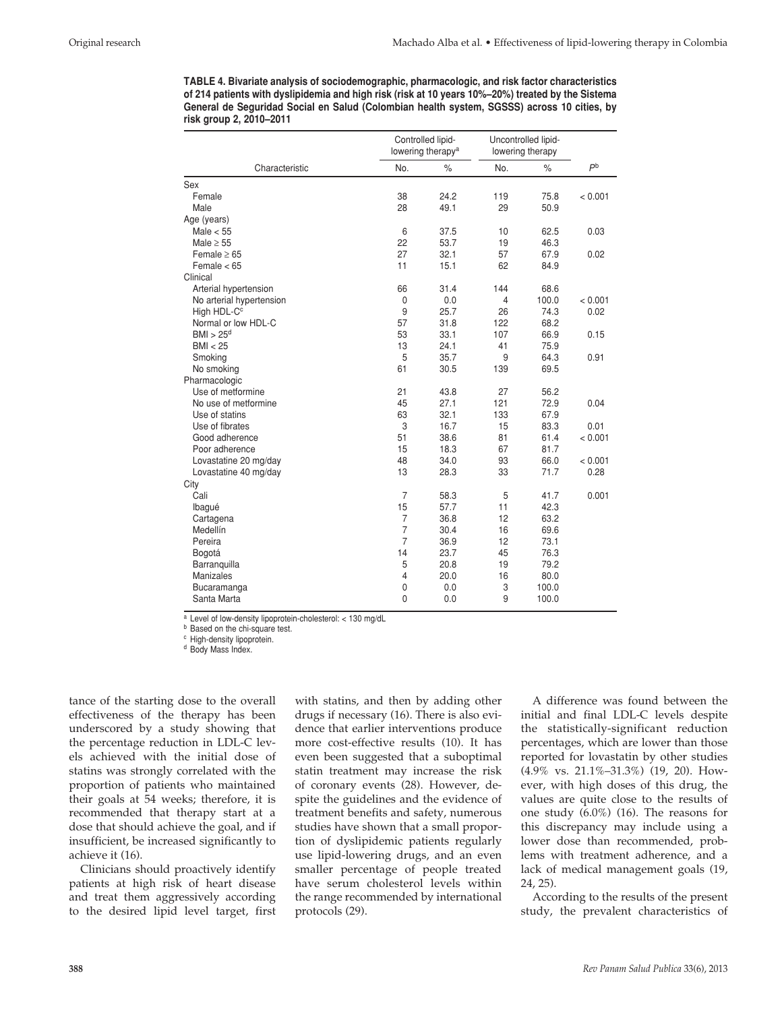**TABLE 4. Bivariate analysis of sociodemographic, pharmacologic, and risk factor characteristics of 214 patients with dyslipidemia and high risk (risk at 10 years 10%–20%) treated by the Sistema General de Seguridad Social en Salud (Colombian health system, SGSSS) across 10 cities, by risk group 2, 2010–2011**

|                          |                | Controlled lipid-<br>lowering therapy <sup>a</sup> | Uncontrolled lipid-<br>lowering therapy |       |                |
|--------------------------|----------------|----------------------------------------------------|-----------------------------------------|-------|----------------|
| Characteristic           | No.            | $\%$                                               | No.                                     | $\%$  | P <sub>b</sub> |
| Sex                      |                |                                                    |                                         |       |                |
| Female                   | 38             | 24.2                                               | 119                                     | 75.8  | < 0.001        |
| Male                     | 28             | 49.1                                               | 29                                      | 50.9  |                |
| Age (years)              |                |                                                    |                                         |       |                |
| Male $< 55$              | 6              | 37.5                                               | 10                                      | 62.5  | 0.03           |
| Male $\geq$ 55           | 22             | 53.7                                               | 19                                      | 46.3  |                |
| Female $\geq 65$         | 27             | 32.1                                               | 57                                      | 67.9  | 0.02           |
| Female $< 65$            | 11             | 15.1                                               | 62                                      | 84.9  |                |
| Clinical                 |                |                                                    |                                         |       |                |
| Arterial hypertension    | 66             | 31.4                                               | 144                                     | 68.6  |                |
| No arterial hypertension | $\mathbf 0$    | 0.0                                                | 4                                       | 100.0 | < 0.001        |
| High HDL-C <sup>c</sup>  | 9              | 25.7                                               | 26                                      | 74.3  | 0.02           |
| Normal or low HDL-C      | 57             | 31.8                                               | 122                                     | 68.2  |                |
| BMI > 25 <sup>d</sup>    | 53             | 33.1                                               | 107                                     | 66.9  | 0.15           |
| BMI < 25                 | 13             | 24.1                                               | 41                                      | 75.9  |                |
| Smoking                  | 5              | 35.7                                               | 9                                       | 64.3  | 0.91           |
| No smoking               | 61             | 30.5                                               | 139                                     | 69.5  |                |
| Pharmacologic            |                |                                                    |                                         |       |                |
| Use of metformine        | 21             | 43.8                                               | 27                                      | 56.2  |                |
| No use of metformine     | 45             | 27.1                                               | 121                                     | 72.9  | 0.04           |
| Use of statins           | 63             | 32.1                                               | 133                                     | 67.9  |                |
| Use of fibrates          | 3              | 16.7                                               | 15                                      | 83.3  | 0.01           |
| Good adherence           | 51             | 38.6                                               | 81                                      | 61.4  | < 0.001        |
| Poor adherence           | 15             | 18.3                                               | 67                                      | 81.7  |                |
| Lovastatine 20 mg/day    | 48             | 34.0                                               | 93                                      | 66.0  | < 0.001        |
| Lovastatine 40 mg/day    | 13             | 28.3                                               | 33                                      | 71.7  | 0.28           |
| City                     |                |                                                    |                                         |       |                |
| Cali                     | $\overline{7}$ | 58.3                                               | 5                                       | 41.7  | 0.001          |
| Ibagué                   | 15             | 57.7                                               | 11                                      | 42.3  |                |
| Cartagena                | $\overline{7}$ | 36.8                                               | 12                                      | 63.2  |                |
| Medellín                 | $\overline{7}$ | 30.4                                               | 16                                      | 69.6  |                |
| Pereira                  | 7              | 36.9                                               | 12                                      | 73.1  |                |
| Bogotá                   | 14             | 23.7                                               | 45                                      | 76.3  |                |
| Barranquilla             | 5              | 20.8                                               | 19                                      | 79.2  |                |
| Manizales                | 4              | 20.0                                               | 16                                      | 80.0  |                |
| Bucaramanga              | 0              | 0.0                                                | 3                                       | 100.0 |                |
| Santa Marta              | 0              | 0.0                                                | 9                                       | 100.0 |                |

<sup>a</sup> Level of low-density lipoprotein-cholesterol: < 130 mg/dL

**b** Based on the chi-square test.

<sup>c</sup> High-density lipoprotein.

<sup>d</sup> Body Mass Index.

tance of the starting dose to the overall effectiveness of the therapy has been underscored by a study showing that the percentage reduction in LDL-C levels achieved with the initial dose of statins was strongly correlated with the proportion of patients who maintained their goals at 54 weeks; therefore, it is recommended that therapy start at a dose that should achieve the goal, and if insufficient, be increased significantly to achieve it (16).

Clinicians should proactively identify patients at high risk of heart disease and treat them aggressively according to the desired lipid level target, first with statins, and then by adding other drugs if necessary (16). There is also evidence that earlier interventions produce more cost-effective results (10). It has even been suggested that a suboptimal statin treatment may increase the risk of coronary events (28). However, despite the guidelines and the evidence of treatment benefits and safety, numerous studies have shown that a small proportion of dyslipidemic patients regularly use lipid-lowering drugs, and an even smaller percentage of people treated have serum cholesterol levels within the range recommended by international protocols (29).

A difference was found between the initial and final LDL-C levels despite the statistically-significant reduction percentages, which are lower than those reported for lovastatin by other studies (4.9% vs. 21.1%–31.3%) (19, 20). However, with high doses of this drug, the values are quite close to the results of one study (6.0%) (16). The reasons for this discrepancy may include using a lower dose than recommended, problems with treatment adherence, and a lack of medical management goals (19, 24, 25).

According to the results of the present study, the prevalent characteristics of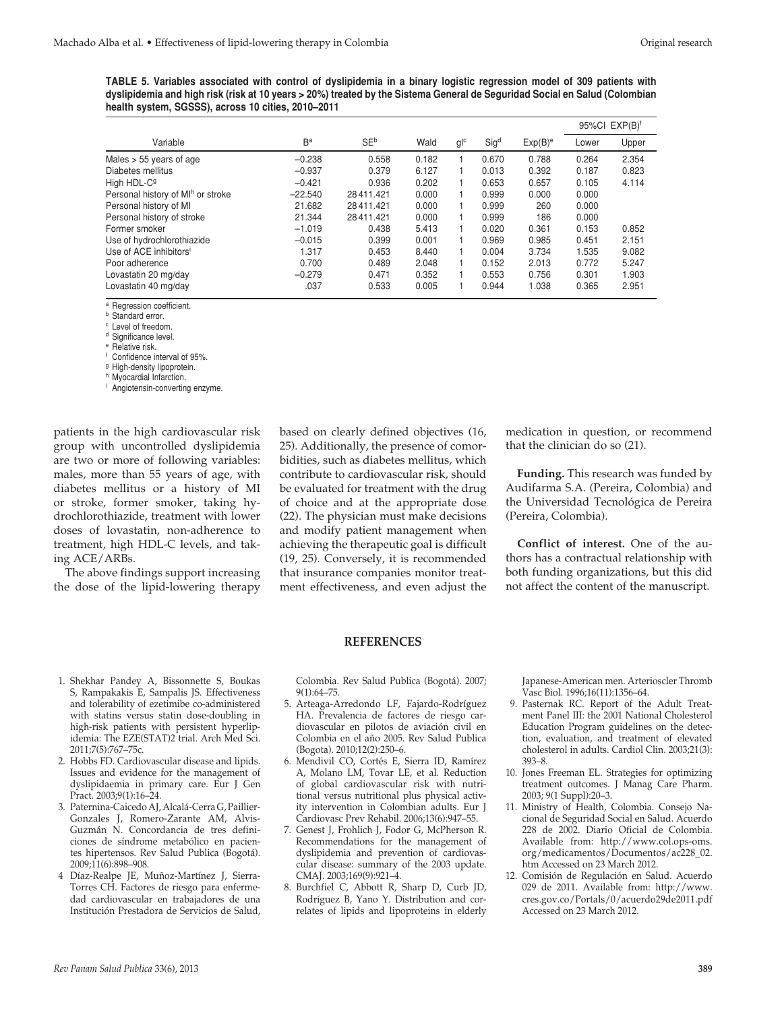**TABLE 5. Variables associated with control of dyslipidemia in a binary logistic regression model of 309 patients with dyslipidemia and high risk (risk at 10 years > 20%) treated by the Sistema General de Seguridad Social en Salud (Colombian health system, SGSSS), across 10 cities, 2010–2011**

|                                    |           |             |       |                  |                  |            |       | $95\%$ CI EXP(B) <sup>f</sup> |  |
|------------------------------------|-----------|-------------|-------|------------------|------------------|------------|-------|-------------------------------|--|
| Variable                           | Ba        | <b>SE</b> b | Wald  | $g$ <sub>c</sub> | Sig <sup>d</sup> | $Exp(B)^e$ | Lower | Upper                         |  |
| Males $> 55$ years of age          | $-0.238$  | 0.558       | 0.182 |                  | 0.670            | 0.788      | 0.264 | 2.354                         |  |
| Diabetes mellitus                  | $-0.937$  | 0.379       | 6.127 |                  | 0.013            | 0.392      | 0.187 | 0.823                         |  |
| High HDL-C <sup>g</sup>            | $-0.421$  | 0.936       | 0.202 |                  | 0.653            | 0.657      | 0.105 | 4.114                         |  |
| Personal history of MIh or stroke  | $-22.540$ | 28411.421   | 0.000 |                  | 0.999            | 0.000      | 0.000 |                               |  |
| Personal history of MI             | 21.682    | 28411.421   | 0.000 |                  | 0.999            | 260        | 0.000 |                               |  |
| Personal history of stroke         | 21.344    | 28411.421   | 0.000 |                  | 0.999            | 186        | 0.000 |                               |  |
| Former smoker                      | $-1.019$  | 0.438       | 5.413 |                  | 0.020            | 0.361      | 0.153 | 0.852                         |  |
| Use of hydrochlorothiazide         | $-0.015$  | 0.399       | 0.001 |                  | 0.969            | 0.985      | 0.451 | 2.151                         |  |
| Use of ACE inhibitors <sup>i</sup> | 1.317     | 0.453       | 8.440 |                  | 0.004            | 3.734      | 1.535 | 9.082                         |  |
| Poor adherence                     | 0.700     | 0.489       | 2.048 |                  | 0.152            | 2.013      | 0.772 | 5.247                         |  |
| Lovastatin 20 mg/day               | $-0.279$  | 0.471       | 0.352 |                  | 0.553            | 0.756      | 0.301 | 1.903                         |  |
| Lovastatin 40 mg/day               | .037      | 0.533       | 0.005 |                  | 0.944            | 1.038      | 0.365 | 2.951                         |  |

<sup>a</sup> Regression coefficient.

**b** Standard error.

<sup>c</sup> Level of freedom.

<sup>d</sup> Significance level.

<sup>e</sup> Relative risk.

<sup>f</sup> Confidence interval of 95%.

<sup>g</sup> High-density lipoprotein.

h Myocardial Infarction.

<sup>i</sup> Angiotensin-converting enzyme.

patients in the high cardiovascular risk group with uncontrolled dyslipidemia are two or more of following variables: males, more than 55 years of age, with diabetes mellitus or a history of MI or stroke, former smoker, taking hydrochlorothiazide, treatment with lower doses of lovastatin, non-adherence to treatment, high HDL-C levels, and taking ACE/ARBs.

The above findings support increasing the dose of the lipid-lowering therapy based on clearly defined objectives (16, 25). Additionally, the presence of comorbidities, such as diabetes mellitus, which contribute to cardiovascular risk, should be evaluated for treatment with the drug of choice and at the appropriate dose (22). The physician must make decisions and modify patient management when achieving the therapeutic goal is difficult (19, 25). Conversely, it is recommended that insurance companies monitor treatment effectiveness, and even adjust the

medication in question, or recommend that the clinician do so (21).

**Funding.** This research was funded by Audifarma S.A. (Pereira, Colombia) and the Universidad Tecnológica de Pereira (Pereira, Colombia).

**Conflict of interest.** One of the authors has a contractual relationship with both funding organizations, but this did not affect the content of the manuscript.

#### **REFERENCES**

- 1. Shekhar Pandey A, Bissonnette S, Boukas S, Rampakakis E, Sampalis JS. Effectiveness and tolerability of ezetimibe co-administered with statins versus statin dose-doubling in high-risk patients with persistent hyperlipidemia: The EZE(STAT)2 trial. Arch Med Sci. 2011;7(5):767–75c.
- 2. Hobbs FD. Cardiovascular disease and lipids. Issues and evidence for the management of dyslipidaemia in primary care. Eur J Gen Pract. 2003;9(1):16–24.
- 3. Paternina-Caicedo AJ, Alcalá-Cerra G, Paillier-Gonzales J, Romero-Zarante AM, Alvis-Guzmán N. Concordancia de tres definiciones de síndrome metabólico en pacientes hipertensos. Rev Salud Publica (Bogotá). 2009;11(6):898–908.
- 4 Díaz-Realpe JE, Muñoz-Martínez J, Sierra-Torres CH. Factores de riesgo para enfermedad cardiovascular en trabajadores de una Institución Prestadora de Servicios de Salud,

Colombia. Rev Salud Publica (Bogotá). 2007; 9(1):64–75.

- 5. Arteaga-Arredondo LF, Fajardo-Rodríguez HA. Prevalencia de factores de riesgo cardiovascular en pilotos de aviación civil en Colombia en el año 2005. Rev Salud Publica (Bogota). 2010;12(2):250–6.
- 6. Mendivil CO, Cortés E, Sierra ID, Ramírez A, Molano LM, Tovar LE, et al. Reduction of global cardiovascular risk with nutritional versus nutritional plus physical activity intervention in Colombian adults. Eur J Cardiovasc Prev Rehabil. 2006;13(6):947–55.
- 7. Genest J, Frohlich J, Fodor G, McPherson R. Recommendations for the management of dyslipidemia and prevention of cardiovascular disease: summary of the 2003 update. CMAJ. 2003;169(9):921–4.
- 8. Burchfiel C, Abbott R, Sharp D, Curb JD, Rodríguez B, Yano Y. Distribution and correlates of lipids and lipoproteins in elderly

Japanese-American men. Arterioscler Thromb Vasc Biol. 1996;16(11):1356–64.

- 9. Pasternak RC. Report of the Adult Treatment Panel III: the 2001 National Cholesterol Education Program guidelines on the detection, evaluation, and treatment of elevated cholesterol in adults. Cardiol Clin. 2003;21(3): 393–8.
- 10. Jones Freeman EL. Strategies for optimizing treatment outcomes. J Manag Care Pharm. 2003; 9(1 Suppl):20–3.
- 11. Ministry of Health, Colombia. Consejo Nacional de Seguridad Social en Salud. Acuerdo 228 de 2002. Diario Oficial de Colombia. Available from: http://www.col.ops-oms. org/medicamentos/Documentos/ac228\_02. htm Accessed on 23 March 2012.
- 12. Comisión de Regulación en Salud. Acuerdo 029 de 2011. Available from: http://www. cres.gov.co/Portals/0/acuerdo29de2011.pdf Accessed on 23 March 2012.